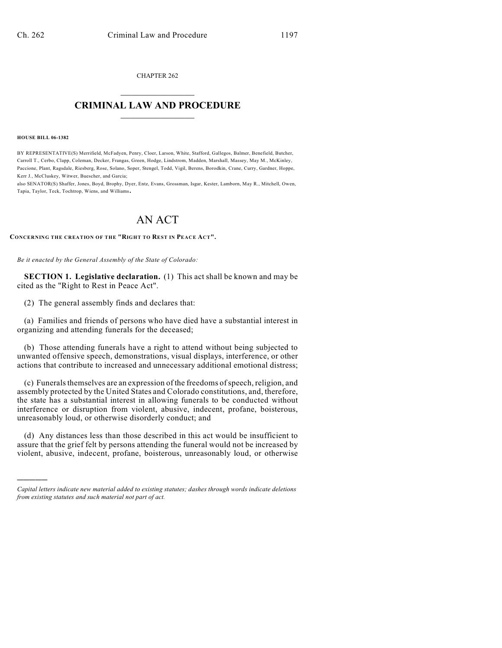CHAPTER 262  $\mathcal{L}_\text{max}$  . The set of the set of the set of the set of the set of the set of the set of the set of the set of the set of the set of the set of the set of the set of the set of the set of the set of the set of the set

## **CRIMINAL LAW AND PROCEDURE**  $\frac{1}{2}$  ,  $\frac{1}{2}$  ,  $\frac{1}{2}$  ,  $\frac{1}{2}$  ,  $\frac{1}{2}$  ,  $\frac{1}{2}$  ,  $\frac{1}{2}$

## **HOUSE BILL 06-1382**

)))))

BY REPRESENTATIVE(S) Merrifield, McFadyen, Penry, Cloer, Larson, White, Stafford, Gallegos, Balmer, Benefield, Butcher, Carroll T., Cerbo, Clapp, Coleman, Decker, Frangas, Green, Hodge, Lindstrom, Madden, Marshall, Massey, May M., McKinley, Paccione, Plant, Ragsdale, Riesberg, Rose, Solano, Soper, Stengel, Todd, Vigil, Berens, Borodkin, Crane, Curry, Gardner, Hoppe, Kerr J., McCluskey, Witwer, Buescher, and Garcia;

also SENATOR(S) Shaffer, Jones, Boyd, Brophy, Dyer, Entz, Evans, Grossman, Isgar, Kester, Lamborn, May R., Mitchell, Owen, Tapia, Taylor, Teck, Tochtrop, Wiens, and Williams.

## AN ACT

**CONCERNING THE CREATION OF THE "RIGHT TO REST IN PEACE ACT".**

*Be it enacted by the General Assembly of the State of Colorado:*

**SECTION 1. Legislative declaration.** (1) This act shall be known and may be cited as the "Right to Rest in Peace Act".

(2) The general assembly finds and declares that:

(a) Families and friends of persons who have died have a substantial interest in organizing and attending funerals for the deceased;

(b) Those attending funerals have a right to attend without being subjected to unwanted offensive speech, demonstrations, visual displays, interference, or other actions that contribute to increased and unnecessary additional emotional distress;

(c) Funerals themselves are an expression of the freedoms ofspeech, religion, and assembly protected by the United States and Colorado constitutions, and, therefore, the state has a substantial interest in allowing funerals to be conducted without interference or disruption from violent, abusive, indecent, profane, boisterous, unreasonably loud, or otherwise disorderly conduct; and

(d) Any distances less than those described in this act would be insufficient to assure that the grief felt by persons attending the funeral would not be increased by violent, abusive, indecent, profane, boisterous, unreasonably loud, or otherwise

*Capital letters indicate new material added to existing statutes; dashes through words indicate deletions from existing statutes and such material not part of act.*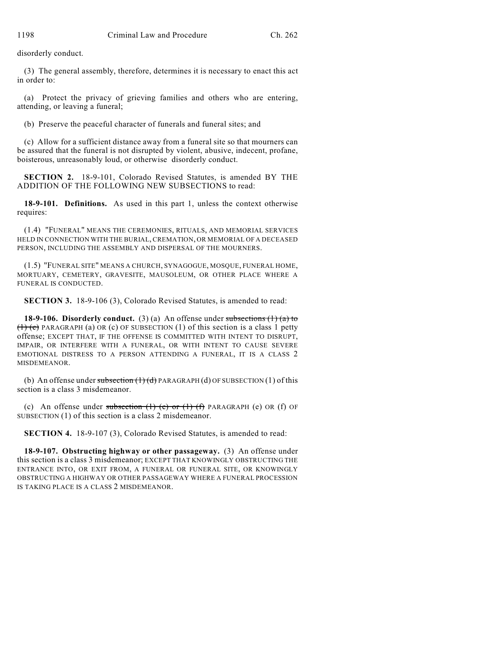disorderly conduct.

(3) The general assembly, therefore, determines it is necessary to enact this act in order to:

(a) Protect the privacy of grieving families and others who are entering, attending, or leaving a funeral;

(b) Preserve the peaceful character of funerals and funeral sites; and

(c) Allow for a sufficient distance away from a funeral site so that mourners can be assured that the funeral is not disrupted by violent, abusive, indecent, profane, boisterous, unreasonably loud, or otherwise disorderly conduct.

**SECTION 2.** 18-9-101, Colorado Revised Statutes, is amended BY THE ADDITION OF THE FOLLOWING NEW SUBSECTIONS to read:

**18-9-101. Definitions.** As used in this part 1, unless the context otherwise requires:

(1.4) "FUNERAL" MEANS THE CEREMONIES, RITUALS, AND MEMORIAL SERVICES HELD IN CONNECTION WITH THE BURIAL, CREMATION, OR MEMORIAL OF A DECEASED PERSON, INCLUDING THE ASSEMBLY AND DISPERSAL OF THE MOURNERS.

(1.5) "FUNERAL SITE" MEANS A CHURCH, SYNAGOGUE, MOSQUE, FUNERAL HOME, MORTUARY, CEMETERY, GRAVESITE, MAUSOLEUM, OR OTHER PLACE WHERE A FUNERAL IS CONDUCTED.

**SECTION 3.** 18-9-106 (3), Colorado Revised Statutes, is amended to read:

**18-9-106. Disorderly conduct.** (3) (a) An offense under subsections (1) (a) to  $(1)$  (c) PARAGRAPH (a) OR (c) OF SUBSECTION (1) of this section is a class 1 petty offense; EXCEPT THAT, IF THE OFFENSE IS COMMITTED WITH INTENT TO DISRUPT, IMPAIR, OR INTERFERE WITH A FUNERAL, OR WITH INTENT TO CAUSE SEVERE EMOTIONAL DISTRESS TO A PERSON ATTENDING A FUNERAL, IT IS A CLASS 2 MISDEMEANOR.

(b) An offense under subsection  $(1)(d)$  PARAGRAPH (d) OF SUBSECTION (1) of this section is a class 3 misdemeanor.

(c) An offense under subsection  $(1)$  (e) or  $(1)$   $(f)$  PARAGRAPH (e) OR  $(f)$  OF SUBSECTION (1) of this section is a class 2 misdemeanor.

**SECTION 4.** 18-9-107 (3), Colorado Revised Statutes, is amended to read:

**18-9-107. Obstructing highway or other passageway.** (3) An offense under this section is a class 3 misdemeanor; EXCEPT THAT KNOWINGLY OBSTRUCTING THE ENTRANCE INTO, OR EXIT FROM, A FUNERAL OR FUNERAL SITE, OR KNOWINGLY OBSTRUCTING A HIGHWAY OR OTHER PASSAGEWAY WHERE A FUNERAL PROCESSION IS TAKING PLACE IS A CLASS 2 MISDEMEANOR.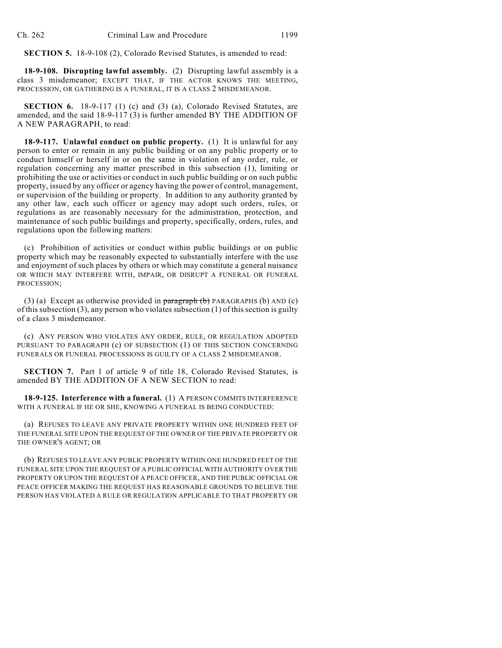**SECTION 5.** 18-9-108 (2), Colorado Revised Statutes, is amended to read:

**18-9-108. Disrupting lawful assembly.** (2) Disrupting lawful assembly is a class 3 misdemeanor; EXCEPT THAT, IF THE ACTOR KNOWS THE MEETING, PROCESSION, OR GATHERING IS A FUNERAL, IT IS A CLASS 2 MISDEMEANOR.

**SECTION 6.** 18-9-117 (1) (c) and (3) (a), Colorado Revised Statutes, are amended, and the said 18-9-117 (3) is further amended BY THE ADDITION OF A NEW PARAGRAPH, to read:

**18-9-117. Unlawful conduct on public property.** (1) It is unlawful for any person to enter or remain in any public building or on any public property or to conduct himself or herself in or on the same in violation of any order, rule, or regulation concerning any matter prescribed in this subsection (1), limiting or prohibiting the use or activities or conduct in such public building or on such public property, issued by any officer or agency having the power of control, management, or supervision of the building or property. In addition to any authority granted by any other law, each such officer or agency may adopt such orders, rules, or regulations as are reasonably necessary for the administration, protection, and maintenance of such public buildings and property, specifically, orders, rules, and regulations upon the following matters:

(c) Prohibition of activities or conduct within public buildings or on public property which may be reasonably expected to substantially interfere with the use and enjoyment of such places by others or which may constitute a general nuisance OR WHICH MAY INTERFERE WITH, IMPAIR, OR DISRUPT A FUNERAL OR FUNERAL PROCESSION;

(3) (a) Except as otherwise provided in  $\frac{\text{parameter of}}{\text{softmax}}$  (b) PARAGRAPHS (b) AND (c) of this subsection (3), any person who violates subsection (1) of this section is guilty of a class 3 misdemeanor.

(c) ANY PERSON WHO VIOLATES ANY ORDER, RULE, OR REGULATION ADOPTED PURSUANT TO PARAGRAPH (c) OF SUBSECTION (1) OF THIS SECTION CONCERNING FUNERALS OR FUNERAL PROCESSIONS IS GUILTY OF A CLASS 2 MISDEMEANOR.

**SECTION 7.** Part 1 of article 9 of title 18, Colorado Revised Statutes, is amended BY THE ADDITION OF A NEW SECTION to read:

**18-9-125. Interference with a funeral.** (1) A PERSON COMMITS INTERFERENCE WITH A FUNERAL IF HE OR SHE, KNOWING A FUNERAL IS BEING CONDUCTED:

(a) REFUSES TO LEAVE ANY PRIVATE PROPERTY WITHIN ONE HUNDRED FEET OF THE FUNERAL SITE UPON THE REQUEST OF THE OWNER OF THE PRIVATE PROPERTY OR THE OWNER'S AGENT; OR

(b) REFUSES TO LEAVE ANY PUBLIC PROPERTY WITHIN ONE HUNDRED FEET OF THE FUNERAL SITE UPON THE REQUEST OF A PUBLIC OFFICIAL WITH AUTHORITY OVER THE PROPERTY OR UPON THE REQUEST OF A PEACE OFFICER, AND THE PUBLIC OFFICIAL OR PEACE OFFICER MAKING THE REQUEST HAS REASONABLE GROUNDS TO BELIEVE THE PERSON HAS VIOLATED A RULE OR REGULATION APPLICABLE TO THAT PROPERTY OR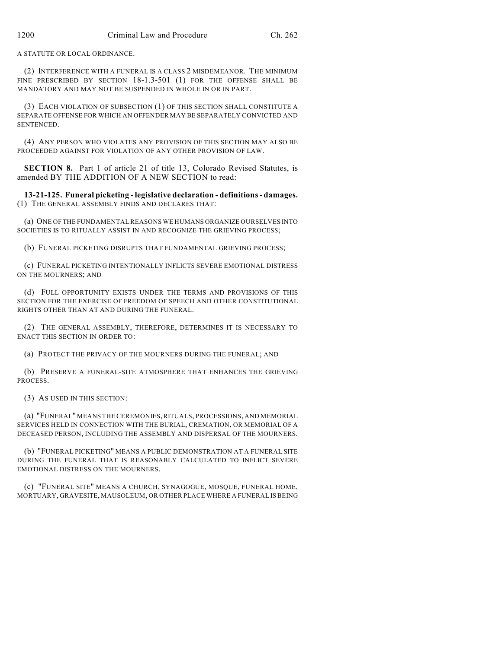A STATUTE OR LOCAL ORDINANCE.

(2) INTERFERENCE WITH A FUNERAL IS A CLASS 2 MISDEMEANOR. THE MINIMUM FINE PRESCRIBED BY SECTION 18-1.3-501 (1) FOR THE OFFENSE SHALL BE MANDATORY AND MAY NOT BE SUSPENDED IN WHOLE IN OR IN PART.

(3) EACH VIOLATION OF SUBSECTION (1) OF THIS SECTION SHALL CONSTITUTE A SEPARATE OFFENSE FOR WHICH AN OFFENDER MAY BE SEPARATELY CONVICTED AND SENTENCED.

(4) ANY PERSON WHO VIOLATES ANY PROVISION OF THIS SECTION MAY ALSO BE PROCEEDED AGAINST FOR VIOLATION OF ANY OTHER PROVISION OF LAW.

**SECTION 8.** Part 1 of article 21 of title 13, Colorado Revised Statutes, is amended BY THE ADDITION OF A NEW SECTION to read:

**13-21-125. Funeral picketing - legislative declaration - definitions - damages.** (1) THE GENERAL ASSEMBLY FINDS AND DECLARES THAT:

(a) ONE OF THE FUNDAMENTAL REASONS WE HUMANS ORGANIZE OURSELVES INTO SOCIETIES IS TO RITUALLY ASSIST IN AND RECOGNIZE THE GRIEVING PROCESS;

(b) FUNERAL PICKETING DISRUPTS THAT FUNDAMENTAL GRIEVING PROCESS;

(c) FUNERAL PICKETING INTENTIONALLY INFLICTS SEVERE EMOTIONAL DISTRESS ON THE MOURNERS; AND

(d) FULL OPPORTUNITY EXISTS UNDER THE TERMS AND PROVISIONS OF THIS SECTION FOR THE EXERCISE OF FREEDOM OF SPEECH AND OTHER CONSTITUTIONAL RIGHTS OTHER THAN AT AND DURING THE FUNERAL.

(2) THE GENERAL ASSEMBLY, THEREFORE, DETERMINES IT IS NECESSARY TO ENACT THIS SECTION IN ORDER TO:

(a) PROTECT THE PRIVACY OF THE MOURNERS DURING THE FUNERAL; AND

(b) PRESERVE A FUNERAL-SITE ATMOSPHERE THAT ENHANCES THE GRIEVING PROCESS.

(3) AS USED IN THIS SECTION:

(a) "FUNERAL" MEANS THE CEREMONIES, RITUALS, PROCESSIONS, AND MEMORIAL SERVICES HELD IN CONNECTION WITH THE BURIAL, CREMATION, OR MEMORIAL OF A DECEASED PERSON, INCLUDING THE ASSEMBLY AND DISPERSAL OF THE MOURNERS.

(b) "FUNERAL PICKETING" MEANS A PUBLIC DEMONSTRATION AT A FUNERAL SITE DURING THE FUNERAL THAT IS REASONABLY CALCULATED TO INFLICT SEVERE EMOTIONAL DISTRESS ON THE MOURNERS.

(c) "FUNERAL SITE" MEANS A CHURCH, SYNAGOGUE, MOSQUE, FUNERAL HOME, MORTUARY, GRAVESITE, MAUSOLEUM, OR OTHER PLACE WHERE A FUNERAL IS BEING